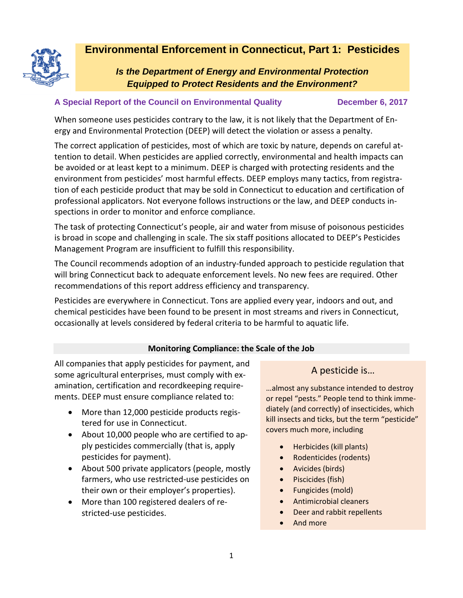

# **Environmental Enforcement in Connecticut, Part 1: Pesticides**

# *Is the Department of Energy and Environmental Protection Equipped to Protect Residents and the Environment?*

# **A Special Report of the Council on Environmental Quality December 6, 2017**

When someone uses pesticides contrary to the law, it is not likely that the Department of Energy and Environmental Protection (DEEP) will detect the violation or assess a penalty.

The correct application of pesticides, most of which are toxic by nature, depends on careful attention to detail. When pesticides are applied correctly, environmental and health impacts can be avoided or at least kept to a minimum. DEEP is charged with protecting residents and the environment from pesticides' most harmful effects. DEEP employs many tactics, from registration of each pesticide product that may be sold in Connecticut to education and certification of professional applicators. Not everyone follows instructions or the law, and DEEP conducts inspections in order to monitor and enforce compliance.

The task of protecting Connecticut's people, air and water from misuse of poisonous pesticides is broad in scope and challenging in scale. The six staff positions allocated to DEEP's Pesticides Management Program are insufficient to fulfill this responsibility.

The Council recommends adoption of an industry-funded approach to pesticide regulation that will bring Connecticut back to adequate enforcement levels. No new fees are required. Other recommendations of this report address efficiency and transparency.

Pesticides are everywhere in Connecticut. Tons are applied every year, indoors and out, and chemical pesticides have been found to be present in most streams and rivers in Connecticut, occasionally at levels considered by federal criteria to be harmful to aquatic life.

## **Monitoring Compliance: the Scale of the Job**

All companies that apply pesticides for payment, and some agricultural enterprises, must comply with examination, certification and recordkeeping requirements. DEEP must ensure compliance related to:

- More than 12,000 pesticide products registered for use in Connecticut.
- About 10,000 people who are certified to apply pesticides commercially (that is, apply pesticides for payment).
- About 500 private applicators (people, mostly farmers, who use restricted-use pesticides on their own or their employer's properties).
- More than 100 registered dealers of restricted-use pesticides.

# A pesticide is…

…almost any substance intended to destroy or repel "pests." People tend to think immediately (and correctly) of insecticides, which kill insects and ticks, but the term "pesticide" covers much more, including

- Herbicides (kill plants)
- Rodenticides (rodents)
- Avicides (birds)
- Piscicides (fish)
- Fungicides (mold)
- Antimicrobial cleaners
- Deer and rabbit repellents
- And more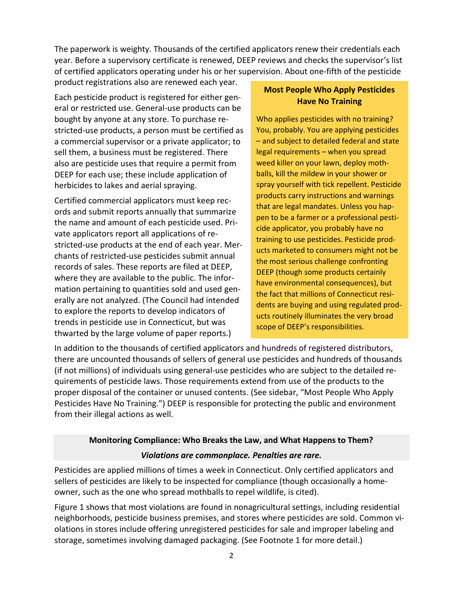The paperwork is weighty. Thousands of the certified applicators renew their credentials each year. Before a supervisory certificate is renewed, DEEP reviews and checks the supervisor's list of certified applicators operating under his or her supervision. About one-fifth of the pesticide product registrations also are renewed each year.

Each pesticide product is registered for either general or restricted use. General-use products can be bought by anyone at any store. To purchase restricted-use products, a person must be certified as a commercial supervisor or a private applicator; to sell them, a business must be registered. There also are pesticide uses that require a permit from DEEP for each use; these include application of herbicides to lakes and aerial spraying.

Certified commercial applicators must keep records and submit reports annually that summarize the name and amount of each pesticide used. Private applicators report all applications of restricted-use products at the end of each year. Merchants of restricted-use pesticides submit annual records of sales. These reports are filed at DEEP, where they are available to the public. The information pertaining to quantities sold and used generally are not analyzed. (The Council had intended to explore the reports to develop indicators of trends in pesticide use in Connecticut, but was thwarted by the large volume of paper reports.)

# **Most People Who Apply Pesticides Have No Training**

Who applies pesticides with no training? You, probably. You are applying pesticides – and subject to detailed federal and state legal requirements – when you spread weed killer on your lawn, deploy mothballs, kill the mildew in your shower or spray yourself with tick repellent. Pesticide products carry instructions and warnings that are legal mandates. Unless you happen to be a farmer or a professional pesticide applicator, you probably have no training to use pesticides. Pesticide products marketed to consumers might not be the most serious challenge confronting DEEP (though some products certainly have environmental consequences), but the fact that millions of Connecticut residents are buying and using regulated products routinely illuminates the very broad scope of DEEP's responsibilities.

In addition to the thousands of certified applicators and hundreds of registered distributors, there are uncounted thousands of sellers of general use pesticides and hundreds of thousands (if not millions) of individuals using general-use pesticides who are subject to the detailed requirements of pesticide laws. Those requirements extend from use of the products to the proper disposal of the container or unused contents. (See sidebar, "Most People Who Apply Pesticides Have No Training.") DEEP is responsible for protecting the public and environment from their illegal actions as well.

# **Monitoring Compliance: Who Breaks the Law, and What Happens to Them?** *Violations are commonplace. Penalties are rare.*

Pesticides are applied millions of times a week in Connecticut. Only certified applicators and sellers of pesticides are likely to be inspected for compliance (though occasionally a homeowner, such as the one who spread mothballs to repel wildlife, is cited).

Figure 1 shows that most violations are found in nonagricultural settings, including residential neighborhoods, pesticide business premises, and stores where pesticides are sold. Common violations in stores include offering unregistered pesticides for sale and improper labeling and storage, sometimes involving damaged packaging. (See Footnote 1 for more detail.)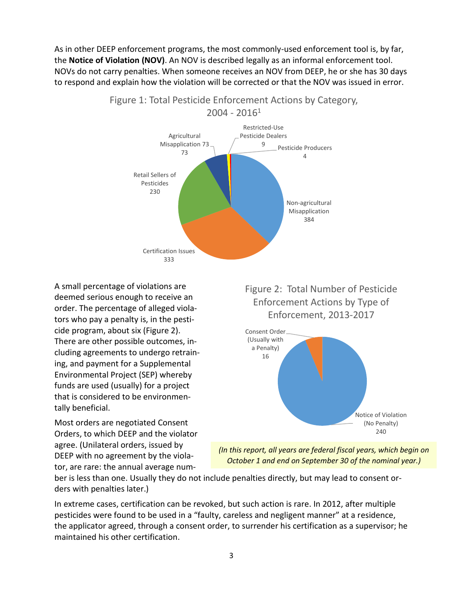As in other DEEP enforcement programs, the most commonly-used enforcement tool is, by far, the **Notice of Violation (NOV)**. An NOV is described legally as an informal enforcement tool. NOVs do not carry penalties. When someone receives an NOV from DEEP, he or she has 30 days to respond and explain how the violation will be corrected or that the NOV was issued in error.



A small percentage of violations are deemed serious enough to receive an order. The percentage of alleged violators who pay a penalty is, in the pesticide program, about six (Figure 2). There are other possible outcomes, including agreements to undergo retraining, and payment for a Supplemental Environmental Project (SEP) whereby funds are used (usually) for a project that is considered to be environmentally beneficial.

Most orders are negotiated Consent Orders, to which DEEP and the violator agree. (Unilateral orders, issued by DEEP with no agreement by the violator, are rare: the annual average num-

# Figure 2: Total Number of Pesticide Enforcement Actions by Type of Enforcement, 2013-2017



*(In this report, all years are federal fiscal years, which begin on October 1 and end on September 30 of the nominal year.)*

ber is less than one. Usually they do not include penalties directly, but may lead to consent orders with penalties later.)

In extreme cases, certification can be revoked, but such action is rare. In 2012, after multiple pesticides were found to be used in a "faulty, careless and negligent manner" at a residence, the applicator agreed, through a consent order, to surrender his certification as a supervisor; he maintained his other certification.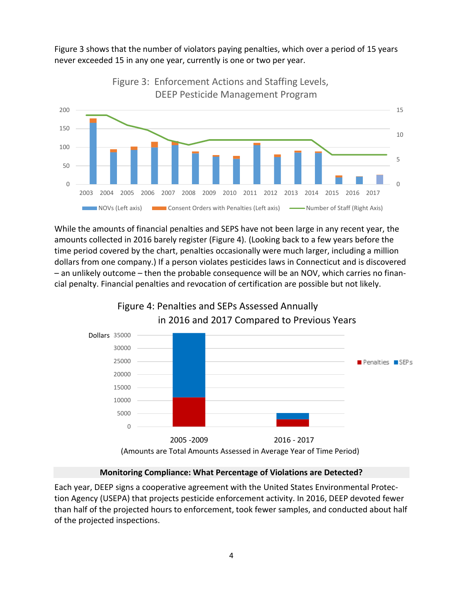Figure 3 shows that the number of violators paying penalties, which over a period of 15 years never exceeded 15 in any one year, currently is one or two per year.



While the amounts of financial penalties and SEPS have not been large in any recent year, the amounts collected in 2016 barely register (Figure 4). (Looking back to a few years before the time period covered by the chart, penalties occasionally were much larger, including a million dollars from one company.) If a person violates pesticides laws in Connecticut and is discovered – an unlikely outcome – then the probable consequence will be an NOV, which carries no financial penalty. Financial penalties and revocation of certification are possible but not likely.



#### **Monitoring Compliance: What Percentage of Violations are Detected?**

Each year, DEEP signs a cooperative agreement with the United States Environmental Protection Agency (USEPA) that projects pesticide enforcement activity. In 2016, DEEP devoted fewer than half of the projected hours to enforcement, took fewer samples, and conducted about half of the projected inspections.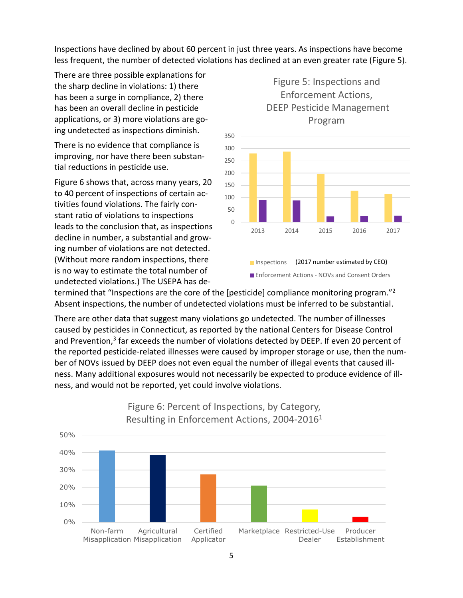Inspections have declined by about 60 percent in just three years. As inspections have become less frequent, the number of detected violations has declined at an even greater rate (Figure 5).

There are three possible explanations for the sharp decline in violations: 1) there has been a surge in compliance, 2) there has been an overall decline in pesticide applications, or 3) more violations are going undetected as inspections diminish.

There is no evidence that compliance is improving, nor have there been substantial reductions in pesticide use.

Figure 6 shows that, across many years, 20 to 40 percent of inspections of certain activities found violations. The fairly constant ratio of violations to inspections leads to the conclusion that, as inspections decline in number, a substantial and growing number of violations are not detected. (Without more random inspections, there is no way to estimate the total number of undetected violations.) The USEPA has de-

Figure 5: Inspections and Enforcement Actions, DEEP Pesticide Management Program



**Inspections** ■ Enforcement Actions - NOVs and Consent Orders (2017 number estimated by CEQ)

termined that "Inspections are the core of the [pesticide] compliance monitoring program."<sup>2</sup> Absent inspections, the number of undetected violations must be inferred to be substantial.

There are other data that suggest many violations go undetected. The number of illnesses caused by pesticides in Connecticut, as reported by the national Centers for Disease Control and Prevention,<sup>3</sup> far exceeds the number of violations detected by DEEP. If even 20 percent of the reported pesticide-related illnesses were caused by improper storage or use, then the number of NOVs issued by DEEP does not even equal the number of illegal events that caused illness. Many additional exposures would not necessarily be expected to produce evidence of illness, and would not be reported, yet could involve violations.



# Figure 6: Percent of Inspections, by Category, Resulting in Enforcement Actions, 2004-2016<sup>1</sup>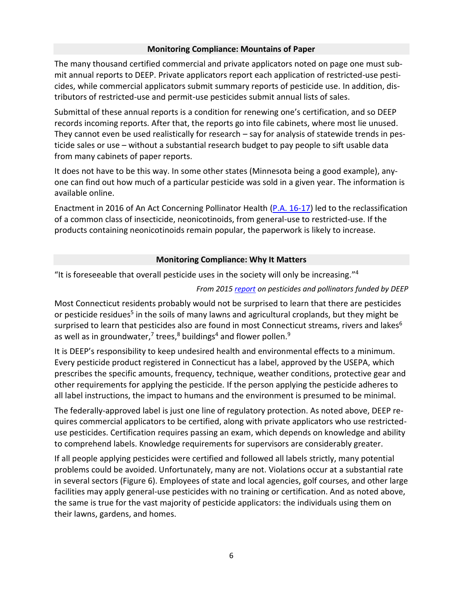#### **Monitoring Compliance: Mountains of Paper**

The many thousand certified commercial and private applicators noted on page one must submit annual reports to DEEP. Private applicators report each application of restricted-use pesticides, while commercial applicators submit summary reports of pesticide use. In addition, distributors of restricted-use and permit-use pesticides submit annual lists of sales.

Submittal of these annual reports is a condition for renewing one's certification, and so DEEP records incoming reports. After that, the reports go into file cabinets, where most lie unused. They cannot even be used realistically for research – say for analysis of statewide trends in pesticide sales or use – without a substantial research budget to pay people to sift usable data from many cabinets of paper reports.

It does not have to be this way. In some other states (Minnesota being a good example), anyone can find out how much of a particular pesticide was sold in a given year. The information is available online.

Enactment in 2016 of An Act Concerning Pollinator Health [\(P.A. 16-17\)](https://www.cga.ct.gov/asp/cgabillstatus/cgabillstatus.asp?selBillType=Bill&bill_num=SB00231&which_year=2016) led to the reclassification of a common class of insecticide, neonicotinoids, from general-use to restricted-use. If the products containing neonicotinoids remain popular, the paperwork is likely to increase.

## **Monitoring Compliance: Why It Matters**

"It is foreseeable that overall pesticide uses in the society will only be increasing." 4

## *From 2015 [report](http://www.ct.gov/deep/lib/deep/pesticides/Dr_Lu_Final_Pollinator_Pesticide_Literature_Review_Report_01222015.pdf) on pesticides and pollinators funded by DEEP*

Most Connecticut residents probably would not be surprised to learn that there are pesticides or pesticide residues<sup>5</sup> in the soils of many lawns and agricultural croplands, but they might be surprised to learn that pesticides also are found in most Connecticut streams, rivers and lakes<sup>6</sup> as well as in groundwater,<sup>7</sup> trees,<sup>8</sup> buildings<sup>4</sup> and flower pollen.<sup>9</sup>

It is DEEP's responsibility to keep undesired health and environmental effects to a minimum. Every pesticide product registered in Connecticut has a label, approved by the USEPA, which prescribes the specific amounts, frequency, technique, weather conditions, protective gear and other requirements for applying the pesticide. If the person applying the pesticide adheres to all label instructions, the impact to humans and the environment is presumed to be minimal.

The federally-approved label is just one line of regulatory protection. As noted above, DEEP requires commercial applicators to be certified, along with private applicators who use restricteduse pesticides. Certification requires passing an exam, which depends on knowledge and ability to comprehend labels. Knowledge requirements for supervisors are considerably greater.

If all people applying pesticides were certified and followed all labels strictly, many potential problems could be avoided. Unfortunately, many are not. Violations occur at a substantial rate in several sectors (Figure 6). Employees of state and local agencies, golf courses, and other large facilities may apply general-use pesticides with no training or certification. And as noted above, the same is true for the vast majority of pesticide applicators: the individuals using them on their lawns, gardens, and homes.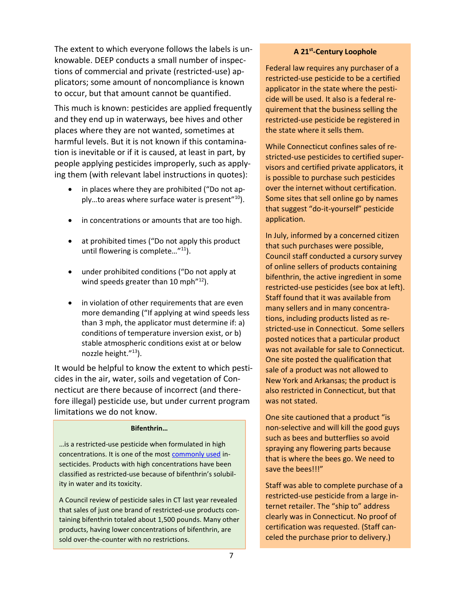The extent to which everyone follows the labels is unknowable. DEEP conducts a small number of inspections of commercial and private (restricted-use) applicators; some amount of noncompliance is known to occur, but that amount cannot be quantified.

This much is known: pesticides are applied frequently and they end up in waterways, bee hives and other places where they are not wanted, sometimes at harmful levels. But it is not known if this contamination is inevitable or if it is caused, at least in part, by people applying pesticides improperly, such as applying them (with relevant label instructions in quotes):

- in places where they are prohibited ("Do not apply...to areas where surface water is present"<sup>10</sup>).
- in concentrations or amounts that are too high.
- at prohibited times ("Do not apply this product until flowering is complete..."<sup>11</sup>).
- under prohibited conditions ("Do not apply at wind speeds greater than 10 mph"<sup>12</sup>).
- in violation of other requirements that are even more demanding ("If applying at wind speeds less than 3 mph, the applicator must determine if: a) conditions of temperature inversion exist, or b) stable atmospheric conditions exist at or below nozzle height."<sup>13</sup>).

It would be helpful to know the extent to which pesticides in the air, water, soils and vegetation of Connecticut are there because of incorrect (and therefore illegal) pesticide use, but under current program limitations we do not know.

#### **Bifenthrin…**

…is a restricted-use pesticide when formulated in high concentrations. It is one of the mos[t commonly used](https://www.epa.gov/sites/production/files/2017-01/documents/pesticides-industry-sales-usage-2016_0.pdf) insecticides. Products with high concentrations have been classified as restricted-use because of bifenthrin's solubility in water and its toxicity.

A Council review of pesticide sales in CT last year revealed that sales of just one brand of restricted-use products containing bifenthrin totaled about 1,500 pounds. Many other products, having lower concentrations of bifenthrin, are sold over-the-counter with no restrictions.

#### **A 21st -Century Loophole**

Federal law requires any purchaser of a restricted-use pesticide to be a certified applicator in the state where the pesticide will be used. It also is a federal requirement that the business selling the restricted-use pesticide be registered in the state where it sells them.

While Connecticut confines sales of restricted-use pesticides to certified supervisors and certified private applicators, it is possible to purchase such pesticides over the internet without certification. Some sites that sell online go by names that suggest "do-it-yourself" pesticide application.

In July, informed by a concerned citizen that such purchases were possible, Council staff conducted a cursory survey of online sellers of products containing bifenthrin, the active ingredient in some restricted-use pesticides (see box at left). Staff found that it was available from many sellers and in many concentrations, including products listed as restricted-use in Connecticut. Some sellers posted notices that a particular product was not available for sale to Connecticut. One site posted the qualification that sale of a product was not allowed to New York and Arkansas; the product is also restricted in Connecticut, but that was not stated.

One site cautioned that a product "is non-selective and will kill the good guys such as bees and butterflies so avoid spraying any flowering parts because that is where the bees go. We need to save the bees!!!"

Staff was able to complete purchase of a restricted-use pesticide from a large internet retailer. The "ship to" address clearly was in Connecticut. No proof of certification was requested. (Staff canceled the purchase prior to delivery.)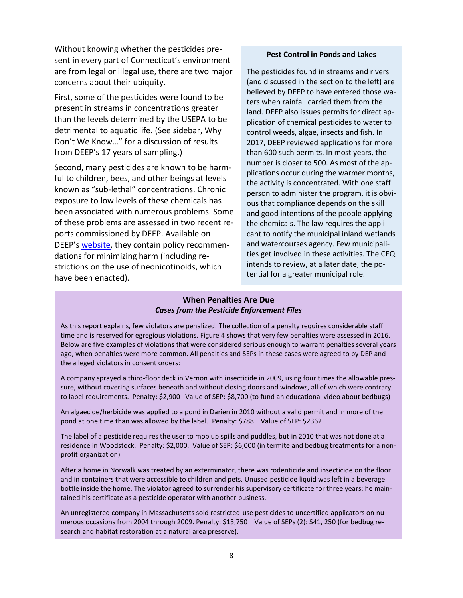Without knowing whether the pesticides present in every part of Connecticut's environment are from legal or illegal use, there are two major concerns about their ubiquity.

First, some of the pesticides were found to be present in streams in concentrations greater than the levels determined by the USEPA to be detrimental to aquatic life. (See sidebar, Why Don't We Know…" for a discussion of results from DEEP's 17 years of sampling.)

Second, many pesticides are known to be harmful to children, bees, and other beings at levels known as "sub-lethal" concentrations. Chronic exposure to low levels of these chemicals has been associated with numerous problems. Some of these problems are assessed in two recent reports commissioned by DEEP. Available on DEEP's [website,](http://www.ct.gov/deep/cwp/view.asp?a=2710&q=324266&deepNav_GID=1712%20#pesticideregistration) they contain policy recommendations for minimizing harm (including restrictions on the use of neonicotinoids, which have been enacted).

#### **Pest Control in Ponds and Lakes**

The pesticides found in streams and rivers (and discussed in the section to the left) are believed by DEEP to have entered those waters when rainfall carried them from the land. DEEP also issues permits for direct application of chemical pesticides to water to control weeds, algae, insects and fish. In 2017, DEEP reviewed applications for more than 600 such permits. In most years, the number is closer to 500. As most of the applications occur during the warmer months, the activity is concentrated. With one staff person to administer the program, it is obvious that compliance depends on the skill and good intentions of the people applying the chemicals. The law requires the applicant to notify the municipal inland wetlands and watercourses agency. Few municipalities get involved in these activities. The CEQ intends to review, at a later date, the potential for a greater municipal role.

## **When Penalties Are Due** *Cases from the Pesticide Enforcement Files*

As this report explains, few violators are penalized. The collection of a penalty requires considerable staff time and is reserved for egregious violations. Figure 4 shows that very few penalties were assessed in 2016. Below are five examples of violations that were considered serious enough to warrant penalties several years ago, when penalties were more common. All penalties and SEPs in these cases were agreed to by DEP and the alleged violators in consent orders:

A company sprayed a third-floor deck in Vernon with insecticide in 2009, using four times the allowable pressure, without covering surfaces beneath and without closing doors and windows, all of which were contrary to label requirements. Penalty: \$2,900 Value of SEP: \$8,700 (to fund an educational video about bedbugs)

An algaecide/herbicide was applied to a pond in Darien in 2010 without a valid permit and in more of the pond at one time than was allowed by the label. Penalty: \$788 Value of SEP: \$2362

The label of a pesticide requires the user to mop up spills and puddles, but in 2010 that was not done at a residence in Woodstock. Penalty: \$2,000. Value of SEP: \$6,000 (in termite and bedbug treatments for a nonprofit organization)

After a home in Norwalk was treated by an exterminator, there was rodenticide and insecticide on the floor and in containers that were accessible to children and pets. Unused pesticide liquid was left in a beverage bottle inside the home. The violator agreed to surrender his supervisory certificate for three years; he maintained his certificate as a pesticide operator with another business.

An unregistered company in Massachusetts sold restricted-use pesticides to uncertified applicators on numerous occasions from 2004 through 2009. Penalty: \$13,750 Value of SEPs (2): \$41, 250 (for bedbug research and habitat restoration at a natural area preserve).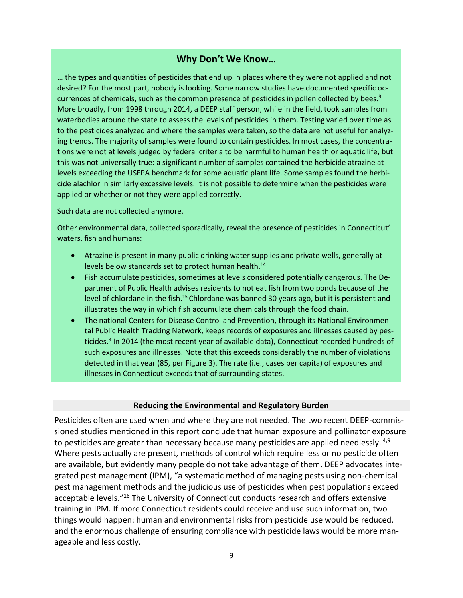# **Why Don't We Know…**

… the types and quantities of pesticides that end up in places where they were not applied and not desired? For the most part, nobody is looking. Some narrow studies have documented specific occurrences of chemicals, such as the common presence of pesticides in pollen collected by bees.<sup>9</sup> More broadly, from 1998 through 2014, a DEEP staff person, while in the field, took samples from waterbodies around the state to assess the levels of pesticides in them. Testing varied over time as to the pesticides analyzed and where the samples were taken, so the data are not useful for analyzing trends. The majority of samples were found to contain pesticides. In most cases, the concentrations were not at levels judged by federal criteria to be harmful to human health or aquatic life, but this was not universally true: a significant number of samples contained the herbicide atrazine at levels exceeding the USEPA benchmark for some aquatic plant life. Some samples found the herbicide alachlor in similarly excessive levels. It is not possible to determine when the pesticides were applied or whether or not they were applied correctly.

Such data are not collected anymore.

Other environmental data, collected sporadically, reveal the presence of pesticides in Connecticut' waters, fish and humans:

- Atrazine is present in many public drinking water supplies and private wells, generally at levels below standards set to protect human health.<sup>14</sup>
- Fish accumulate pesticides, sometimes at levels considered potentially dangerous. The Department of Public Health advises residents to not eat fish from two ponds because of the level of chlordane in the fish.<sup>15</sup> Chlordane was banned 30 years ago, but it is persistent and illustrates the way in which fish accumulate chemicals through the food chain.
- The national Centers for Disease Control and Prevention, through its National Environmental Public Health Tracking Network, keeps records of exposures and illnesses caused by pesticides.<sup>3</sup> In 2014 (the most recent year of available data), Connecticut recorded hundreds of such exposures and illnesses. Note that this exceeds considerably the number of violations detected in that year (85, per Figure 3). The rate (i.e., cases per capita) of exposures and illnesses in Connecticut exceeds that of surrounding states.

#### **Reducing the Environmental and Regulatory Burden**

Pesticides often are used when and where they are not needed. The two recent DEEP-commissioned studies mentioned in this report conclude that human exposure and pollinator exposure to pesticides are greater than necessary because many pesticides are applied needlessly.  $4,9$ Where pests actually are present, methods of control which require less or no pesticide often are available, but evidently many people do not take advantage of them. DEEP advocates integrated pest management (IPM), "a systematic method of managing pests using non-chemical pest management methods and the judicious use of pesticides when pest populations exceed acceptable levels."<sup>16</sup> The University of Connecticut conducts research and offers extensive training in IPM. If more Connecticut residents could receive and use such information, two things would happen: human and environmental risks from pesticide use would be reduced, and the enormous challenge of ensuring compliance with pesticide laws would be more manageable and less costly.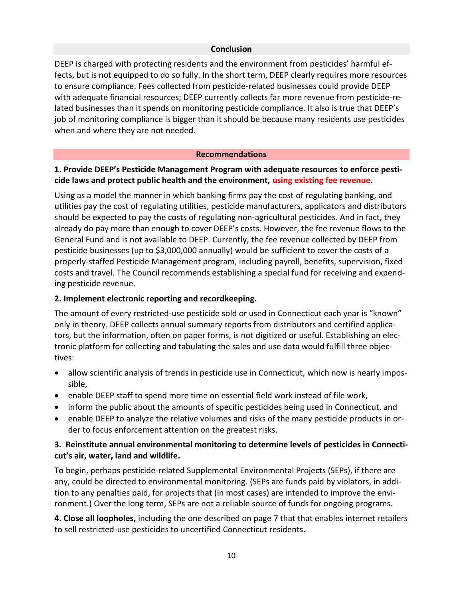### **Conclusion**

DEEP is charged with protecting residents and the environment from pesticides' harmful effects, but is not equipped to do so fully. In the short term, DEEP clearly requires more resources to ensure compliance. Fees collected from pesticide-related businesses could provide DEEP with adequate financial resources; DEEP currently collects far more revenue from pesticide-related businesses than it spends on monitoring pesticide compliance. It also is true that DEEP's job of monitoring compliance is bigger than it should be because many residents use pesticides when and where they are not needed.

## **Recommendations**

# **1. Provide DEEP's Pesticide Management Program with adequate resources to enforce pesticide laws and protect public health and the environment, using existing fee revenue.**

Using as a model the manner in which banking firms pay the cost of regulating banking, and utilities pay the cost of regulating utilities, pesticide manufacturers, applicators and distributors should be expected to pay the costs of regulating non-agricultural pesticides. And in fact, they already do pay more than enough to cover DEEP's costs. However, the fee revenue flows to the General Fund and is not available to DEEP. Currently, the fee revenue collected by DEEP from pesticide businesses (up to \$3,000,000 annually) would be sufficient to cover the costs of a properly-staffed Pesticide Management program, including payroll, benefits, supervision, fixed costs and travel. The Council recommends establishing a special fund for receiving and expending pesticide revenue.

## **2. Implement electronic reporting and recordkeeping.**

The amount of every restricted-use pesticide sold or used in Connecticut each year is "known" only in theory. DEEP collects annual summary reports from distributors and certified applicators, but the information, often on paper forms, is not digitized or useful. Establishing an electronic platform for collecting and tabulating the sales and use data would fulfill three objectives:

- allow scientific analysis of trends in pesticide use in Connecticut, which now is nearly impossible,
- enable DEEP staff to spend more time on essential field work instead of file work,
- inform the public about the amounts of specific pesticides being used in Connecticut, and
- enable DEEP to analyze the relative volumes and risks of the many pesticide products in order to focus enforcement attention on the greatest risks.

# **3. Reinstitute annual environmental monitoring to determine levels of pesticides in Connecticut's air, water, land and wildlife.**

To begin, perhaps pesticide-related Supplemental Environmental Projects (SEPs), if there are any, could be directed to environmental monitoring. (SEPs are funds paid by violators, in addition to any penalties paid, for projects that (in most cases) are intended to improve the environment.) Over the long term, SEPs are not a reliable source of funds for ongoing programs.

**4. Close all loopholes,** including the one described on page 7 that that enables internet retailers to sell restricted-use pesticides to uncertified Connecticut residents**.**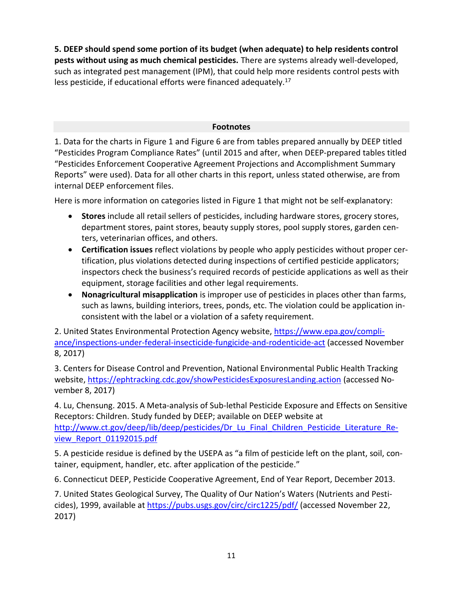**5. DEEP should spend some portion of its budget (when adequate) to help residents control pests without using as much chemical pesticides.** There are systems already well-developed, such as integrated pest management (IPM), that could help more residents control pests with less pesticide, if educational efforts were financed adequately.<sup>17</sup>

## **Footnotes**

1. Data for the charts in Figure 1 and Figure 6 are from tables prepared annually by DEEP titled "Pesticides Program Compliance Rates" (until 2015 and after, when DEEP-prepared tables titled "Pesticides Enforcement Cooperative Agreement Projections and Accomplishment Summary Reports" were used). Data for all other charts in this report, unless stated otherwise, are from internal DEEP enforcement files.

Here is more information on categories listed in Figure 1 that might not be self-explanatory:

- **Stores** include all retail sellers of pesticides, including hardware stores, grocery stores, department stores, paint stores, beauty supply stores, pool supply stores, garden centers, veterinarian offices, and others.
- **Certification issues** reflect violations by people who apply pesticides without proper certification, plus violations detected during inspections of certified pesticide applicators; inspectors check the business's required records of pesticide applications as well as their equipment, storage facilities and other legal requirements.
- **Nonagricultural misapplication** is improper use of pesticides in places other than farms, such as lawns, building interiors, trees, ponds, etc. The violation could be application inconsistent with the label or a violation of a safety requirement.

2. United States Environmental Protection Agency website, [https://www.epa.gov/compli](https://www.epa.gov/compliance/inspections-under-federal-insecticide-fungicide-and-rodenticide-act)[ance/inspections-under-federal-insecticide-fungicide-and-rodenticide-act](https://www.epa.gov/compliance/inspections-under-federal-insecticide-fungicide-and-rodenticide-act) (accessed November 8, 2017)

3. Centers for Disease Control and Prevention, National Environmental Public Health Tracking website,<https://ephtracking.cdc.gov/showPesticidesExposuresLanding.action> (accessed November 8, 2017)

4. Lu, Chensung. 2015. A Meta-analysis of Sub-lethal Pesticide Exposure and Effects on Sensitive Receptors: Children. Study funded by DEEP; available on DEEP website at [http://www.ct.gov/deep/lib/deep/pesticides/Dr\\_Lu\\_Final\\_Children\\_Pesticide\\_Literature\\_Re](http://www.ct.gov/deep/lib/deep/pesticides/Dr_Lu_Final_Children_Pesticide_Literature_Review_Report_01192015.pdf)[view\\_Report\\_01192015.pdf](http://www.ct.gov/deep/lib/deep/pesticides/Dr_Lu_Final_Children_Pesticide_Literature_Review_Report_01192015.pdf)

5. A pesticide residue is defined by the USEPA as "a film of pesticide left on the plant, soil, container, equipment, handler, etc. after application of the pesticide."

6. Connecticut DEEP, Pesticide Cooperative Agreement, End of Year Report, December 2013.

7. United States Geological Survey, The Quality of Our Nation's Waters (Nutrients and Pesticides), 1999, available at<https://pubs.usgs.gov/circ/circ1225/pdf/> (accessed November 22, 2017)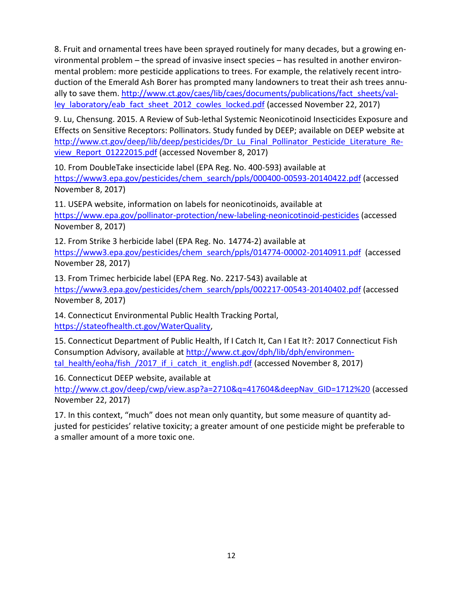8. Fruit and ornamental trees have been sprayed routinely for many decades, but a growing environmental problem – the spread of invasive insect species – has resulted in another environmental problem: more pesticide applications to trees. For example, the relatively recent introduction of the Emerald Ash Borer has prompted many landowners to treat their ash trees annually to save them[. http://www.ct.gov/caes/lib/caes/documents/publications/fact\\_sheets/val](http://www.ct.gov/caes/lib/caes/documents/publications/fact_sheets/valley_laboratory/eab_fact_sheet_2012_cowles_locked.pdf)[ley\\_laboratory/eab\\_fact\\_sheet\\_2012\\_cowles\\_locked.pdf](http://www.ct.gov/caes/lib/caes/documents/publications/fact_sheets/valley_laboratory/eab_fact_sheet_2012_cowles_locked.pdf) (accessed November 22, 2017)

9. Lu, Chensung. 2015. A Review of Sub-lethal Systemic Neonicotinoid Insecticides Exposure and Effects on Sensitive Receptors: Pollinators. Study funded by DEEP; available on DEEP website at [http://www.ct.gov/deep/lib/deep/pesticides/Dr\\_Lu\\_Final\\_Pollinator\\_Pesticide\\_Literature\\_Re](http://www.ct.gov/deep/lib/deep/pesticides/Dr_Lu_Final_Pollinator_Pesticide_Literature_Review_Report_01222015.pdf)[view\\_Report\\_01222015.pdf](http://www.ct.gov/deep/lib/deep/pesticides/Dr_Lu_Final_Pollinator_Pesticide_Literature_Review_Report_01222015.pdf) (accessed November 8, 2017)

10. From DoubleTake insecticide label (EPA Reg. No. 400-593) available at [https://www3.epa.gov/pesticides/chem\\_search/ppls/000400-00593-20140422.pdf](https://www3.epa.gov/pesticides/chem_search/ppls/000400-00593-20140422.pdf) (accessed November 8, 2017)

11. USEPA website, information on labels for neonicotinoids, available at <https://www.epa.gov/pollinator-protection/new-labeling-neonicotinoid-pesticides> (accessed November 8, 2017)

12. From Strike 3 herbicide label (EPA Reg. No. 14774-2) available at [https://www3.epa.gov/pesticides/chem\\_search/ppls/014774-00002-20140911.pdf](https://www3.epa.gov/pesticides/chem_search/ppls/014774-00002-20140911.pdf) (accessed November 28, 2017)

13. From Trimec herbicide label (EPA Reg. No. 2217-543) available at [https://www3.epa.gov/pesticides/chem\\_search/ppls/002217-00543-20140402.pdf](https://www3.epa.gov/pesticides/chem_search/ppls/002217-00543-20140402.pdf) (accessed November 8, 2017)

14. Connecticut Environmental Public Health Tracking Portal, [https://stateofhealth.ct.gov/WaterQuality,](https://stateofhealth.ct.gov/WaterQuality)

15. Connecticut Department of Public Health, If I Catch It, Can I Eat It?: 2017 Connecticut Fish Consumption Advisory, available at [http://www.ct.gov/dph/lib/dph/environmen](http://www.ct.gov/dph/lib/dph/environmental_health/eoha/fish_/2017_if_i_catch_it_english.pdf)[tal\\_health/eoha/fish\\_/2017\\_if\\_i\\_catch\\_it\\_english.pdf](http://www.ct.gov/dph/lib/dph/environmental_health/eoha/fish_/2017_if_i_catch_it_english.pdf) (accessed November 8, 2017)

16. Connecticut DEEP website, available at

[http://www.ct.gov/deep/cwp/view.asp?a=2710&q=417604&deepNav\\_GID=1712%20](http://www.ct.gov/deep/cwp/view.asp?a=2710&q=417604&deepNav_GID=1712%20) (accessed November 22, 2017)

17. In this context, "much" does not mean only quantity, but some measure of quantity adjusted for pesticides' relative toxicity; a greater amount of one pesticide might be preferable to a smaller amount of a more toxic one.